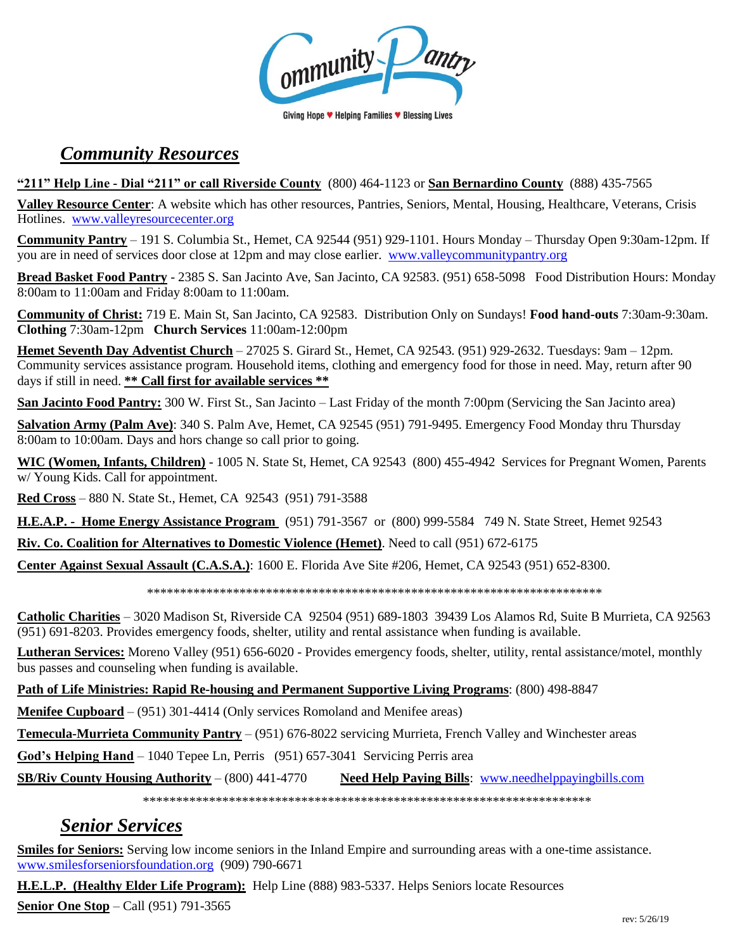ommunity

#### Giving Hope ♥ Helping Families ♥ Blessing Lives

# *Community Resources*

#### **"211" Help Line - Dial "211" or call Riverside County** (800) 464-1123 or **San Bernardino County** (888) 435-7565

**Valley Resource Center**: A website which has other resources, Pantries, Seniors, Mental, Housing, Healthcare, Veterans, Crisis Hotlines. [www.valleyresourcecenter.org](http://www.valleyresourcecenter.org/)

**Community Pantry** – 191 S. Columbia St., Hemet, CA 92544 (951) 929-1101. Hours Monday – Thursday Open 9:30am-12pm. If you are in need of services door close at 12pm and may close earlier. [www.valleycommunitypantry.org](http://www.valleycommunitypantry.org/)

**Bread Basket Food Pantry** - 2385 S. San Jacinto Ave, San Jacinto, CA 92583. (951) 658-5098 Food Distribution Hours: Monday 8:00am to 11:00am and Friday 8:00am to 11:00am.

**Community of Christ:** 719 E. Main St, San Jacinto, CA 92583. Distribution Only on Sundays! **Food hand-outs** 7:30am-9:30am. **Clothing** 7:30am-12pm **Church Services** 11:00am-12:00pm

**Hemet Seventh Day Adventist Church** – 27025 S. Girard St., Hemet, CA 92543. (951) 929-2632. Tuesdays: 9am – 12pm. Community services assistance program. Household items, clothing and emergency food for those in need. May, return after 90 days if still in need. **\*\* Call first for available services \*\***

**San Jacinto Food Pantry:** 300 W. First St., San Jacinto – Last Friday of the month 7:00pm (Servicing the San Jacinto area)

**Salvation Army (Palm Ave)**: 340 S. Palm Ave, Hemet, CA 92545 (951) 791-9495. Emergency Food Monday thru Thursday 8:00am to 10:00am. Days and hors change so call prior to going.

**WIC (Women, Infants, Children)** - 1005 N. State St, Hemet, CA 92543 (800) 455-4942 Services for Pregnant Women, Parents w/ Young Kids. Call for appointment.

**Red Cross** – 880 N. State St., Hemet, CA 92543 (951) 791-3588

**H.E.A.P. - Home Energy Assistance Program** (951) 791-3567 or (800) 999-5584 749 N. State Street, Hemet 92543

**Riv. Co. Coalition for Alternatives to Domestic Violence (Hemet)**. Need to call (951) 672-6175

**Center Against Sexual Assault (C.A.S.A.)**: 1600 E. Florida Ave Site #206, Hemet, CA 92543 (951) 652-8300.

\*\*\*\*\*\*\*\*\*\*\*\*\*\*\*\*\*\*\*\*\*\*\*\*\*\*\*\*\*\*\*\*\*\*\*\*\*\*\*\*\*\*\*\*\*\*\*\*\*\*\*\*\*\*\*\*\*\*\*\*\*\*\*\*\*\*\*\*\*

**Catholic Charities** – 3020 Madison St, Riverside CA 92504 (951) 689-1803 39439 Los Alamos Rd, Suite B Murrieta, CA 92563 (951) 691-8203. Provides emergency foods, shelter, utility and rental assistance when funding is available.

**Lutheran Services:** Moreno Valley (951) 656-6020 - Provides emergency foods, shelter, utility, rental assistance/motel, monthly bus passes and counseling when funding is available.

**Path of Life Ministries: Rapid Re-housing and Permanent Supportive Living Programs**: (800) 498-8847

**Menifee Cupboard** – (951) 301-4414 (Only services Romoland and Menifee areas)

**Temecula-Murrieta Community Pantry** – (951) 676-8022 servicing Murrieta, French Valley and Winchester areas

**God's Helping Hand** – 1040 Tepee Ln, Perris (951) 657-3041 Servicing Perris area

**SB/Riv County Housing Authority** – (800) 441-4770 **Need Help Paying Bills**: [www.needhelppayingbills.com](http://www.needhelppayingbills.com/)

\*\*\*\*\*\*\*\*\*\*\*\*\*\*\*\*\*\*\*\*\*\*\*\*\*\*\*\*\*\*\*\*\*\*\*\*\*\*\*\*\*\*\*\*\*\*\*\*\*\*\*\*\*\*\*\*\*\*\*\*\*\*\*\*\*\*\*\*

# *Senior Services*

**Smiles for Seniors:** Serving low income seniors in the Inland Empire and surrounding areas with a one-time assistance. [www.smilesforseniorsfoundation.org](http://www.smilesforseniorsfoundation.org/) (909) 790-6671

**H.E.L.P. (Healthy Elder Life Program):** Help Line (888) 983-5337. Helps Seniors locate Resources

**Senior One Stop** – Call (951) 791-3565